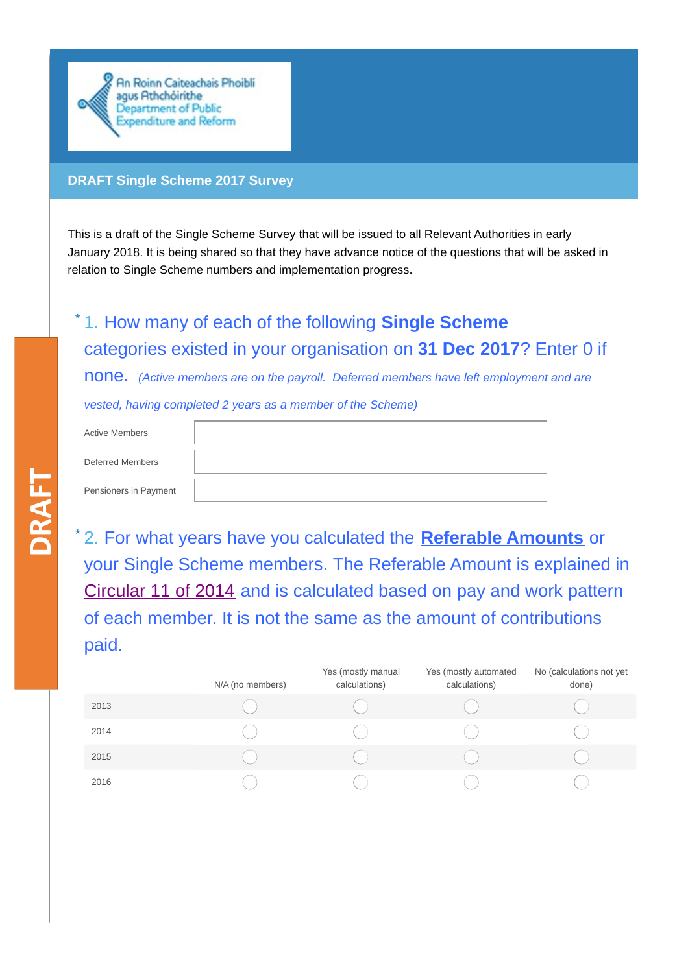

## **DRAFT Single Scheme 2017 Survey**

This is a draft of the Single Scheme Survey that will be issued to all Relevant Authorities in early January 2018. It is being shared so that they have advance notice of the questions that will be asked in relation to Single Scheme numbers and implementation progress.

## 1. How many of each of the following **Single Scheme** \* categories existed in your organisation on **31 Dec 2017**? Enter 0 if none. *(Active members are on the payroll. Deferred members have left employment and are vested, having completed 2 years as a member of the Scheme)*

| <b>Active Members</b> |  |
|-----------------------|--|
|                       |  |
| Deferred Members      |  |
|                       |  |
| Pensioners in Payment |  |

**DRAFT** 

2. For what years have you calculated the **Referable Amounts** or \*your Single Scheme members. The Referable Amount is explained in [Circular](http://singlepensionscheme.gov.ie/circulars/circular-11-of-2014/) 11 of 2014 and is calculated based on pay and work pattern of each member. It is not the same as the amount of contributions paid.

|      | N/A (no members) | Yes (mostly manual<br>calculations) | Yes (mostly automated<br>calculations) | No (calculations not yet<br>done) |
|------|------------------|-------------------------------------|----------------------------------------|-----------------------------------|
| 2013 |                  |                                     |                                        |                                   |
| 2014 |                  |                                     |                                        |                                   |
| 2015 |                  |                                     |                                        |                                   |
| 2016 |                  |                                     |                                        |                                   |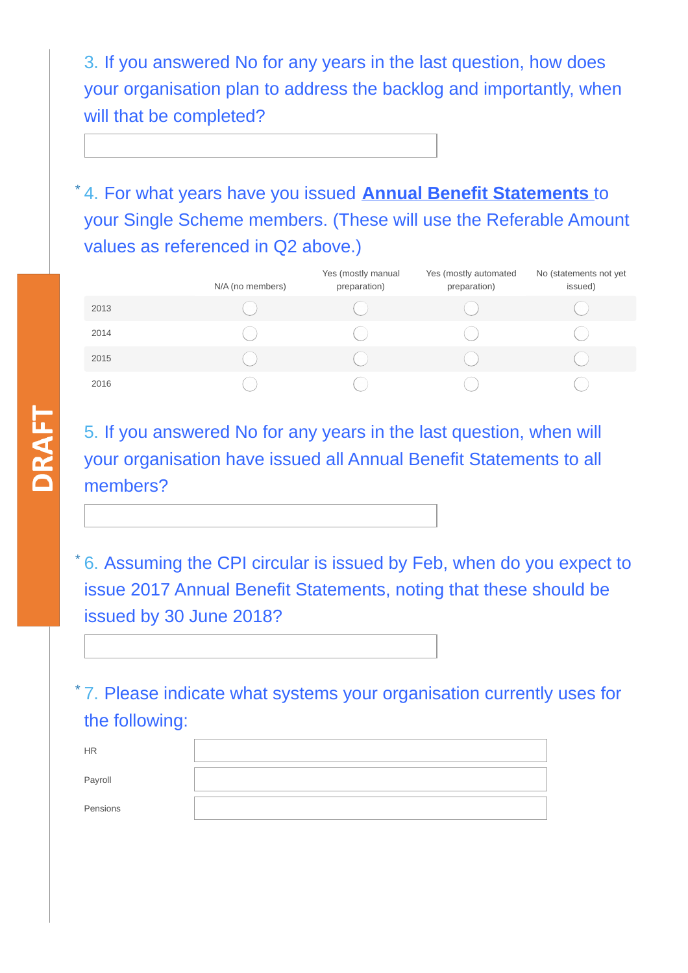3. If you answered No for any years in the last question, how does your organisation plan to address the backlog and importantly, when will that be completed?

4. For what years have you issued **Annual Benefit Statements** to \* your Single Scheme members. (These will use the Referable Amount values as referenced in Q2 above.)

|      | N/A (no members) | Yes (mostly manual<br>preparation) | Yes (mostly automated<br>preparation) | No (statements not yet<br>issued) |
|------|------------------|------------------------------------|---------------------------------------|-----------------------------------|
| 2013 |                  |                                    |                                       |                                   |
| 2014 |                  |                                    |                                       |                                   |
| 2015 |                  |                                    |                                       |                                   |
| 2016 |                  |                                    |                                       |                                   |

5. If you answered No for any years in the last question, when will your organisation have issued all Annual Benefit Statements to all members?

\*6. Assuming the CPI circular is issued by Feb, when do you expect to issue 2017 Annual Benefit Statements, noting that these should be issued by 30 June 2018?

7. Please indicate what systems your organisation currently uses for \*the following:

| <b>HR</b> |  |
|-----------|--|
| Payroll   |  |
| Pensions  |  |